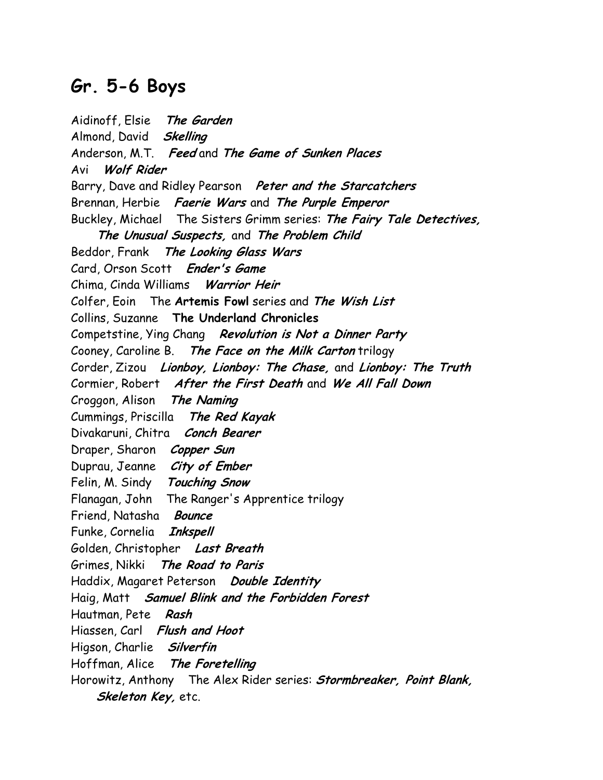## Gr. 5-6 Boys

Aidinoff, Elsie The Garden Almond, David Skelling Anderson, M.T. Feed and The Game of Sunken Places Avi Wolf Rider Barry, Dave and Ridley Pearson Peter and the Starcatchers Brennan, Herbie Faerie Wars and The Purple Emperor Buckley, Michael The Sisters Grimm series: The Fairy Tale Detectives, The Unusual Suspects, and The Problem Child Beddor, Frank The Looking Glass Wars Card, Orson Scott Ender's Game Chima, Cinda Williams Warrior Heir Colfer, Eoin The Artemis Fowl series and The Wish List Collins, Suzanne The Underland Chronicles Competstine, Ying Chang Revolution is Not a Dinner Party Cooney, Caroline B. The Face on the Milk Carton trilogy Corder, Zizou Lionboy, Lionboy: The Chase, and Lionboy: The Truth Cormier, Robert After the First Death and We All Fall Down Croggon, Alison The Naming Cummings, Priscilla The Red Kayak Divakaruni, Chitra Conch Bearer Draper, Sharon Copper Sun Duprau, Jeanne City of Ember Felin, M. Sindy Touching Snow Flanagan, John The Ranger's Apprentice trilogy Friend, Natasha Bounce Funke, Cornelia Inkspell Golden, Christopher Last Breath Grimes, Nikki The Road to Paris Haddix, Magaret Peterson Double Identity Haig, Matt Samuel Blink and the Forbidden Forest Hautman, Pete Rash Hiassen, Carl Flush and Hoot Higson, Charlie Silverfin Hoffman, Alice The Foretelling Horowitz, Anthony The Alex Rider series: **Stormbreaker**, Point Blank, Skeleton Key, etc.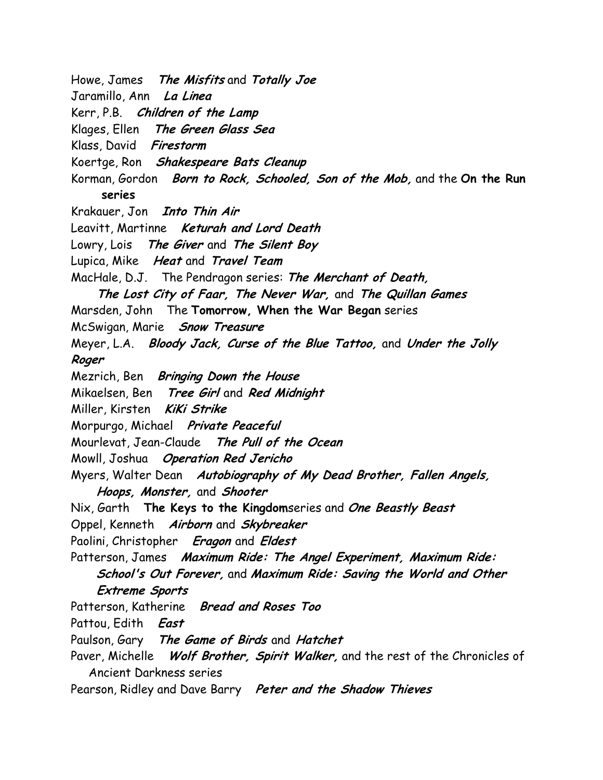Howe, James The Misfits and Totally Joe Jaramillo, Ann La Linea Kerr, P.B. Children of the Lamp Klages, Ellen The Green Glass Sea Klass, David Firestorm Koertge, Ron Shakespeare Bats Cleanup Korman, Gordon Born to Rock, Schooled, Son of the Mob, and the On the Run series Krakauer, Jon *Into Thin Air* Leavitt, Martinne Keturah and Lord Death Lowry, Lois The Giver and The Silent Boy Lupica, Mike Heat and Travel Team MacHale, D.J. The Pendragon series: The Merchant of Death, The Lost City of Faar, The Never War, and The Quillan Games Marsden, John The Tomorrow, When the War Began series McSwigan, Marie Snow Treasure Meyer, L.A. Bloody Jack, Curse of the Blue Tattoo, and Under the Jolly Roger Mezrich, Ben Bringing Down the House Mikaelsen, Ben Tree Girl and Red Midnight Miller, Kirsten KiKi Strike Morpurgo, Michael Private Peaceful Mourlevat, Jean-Claude The Pull of the Ocean Mowll, Joshua Operation Red Jericho Myers, Walter Dean Autobiography of My Dead Brother, Fallen Angels, Hoops, Monster, and Shooter Nix, Garth The Keys to the Kingdomseries and One Beastly Beast Oppel, Kenneth Airborn and Skybreaker Paolini, Christopher Eragon and Eldest Patterson, James Maximum Ride: The Angel Experiment, Maximum Ride: School's Out Forever, and Maximum Ride: Saving the World and Other Extreme Sports Patterson, Katherine Bread and Roses Too Pattou, Edith East Paulson, Gary The Game of Birds and Hatchet Paver, Michelle Wolf Brother, Spirit Walker, and the rest of the Chronicles of Ancient Darkness series Pearson, Ridley and Dave Barry Peter and the Shadow Thieves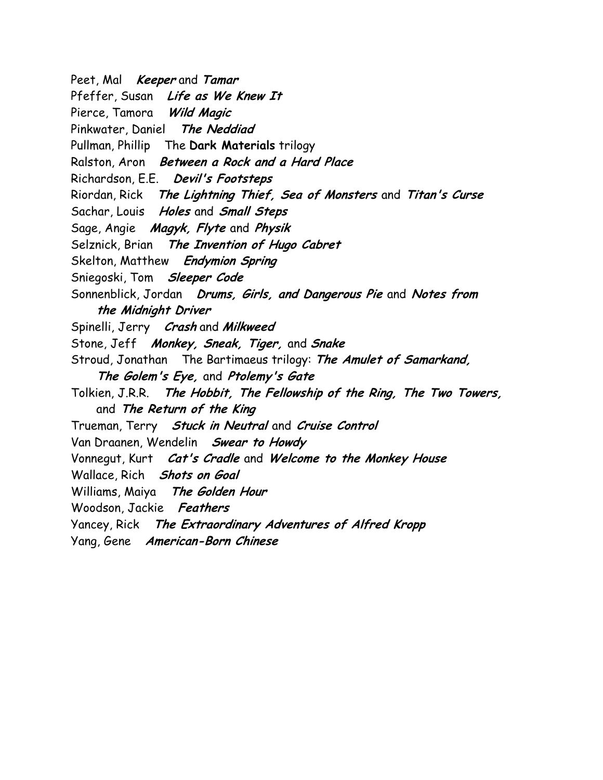Peet, Mal **Keeper** and **Tamar** Pfeffer, Susan Life as We Knew It Pierce, Tamora Wild Magic Pinkwater, Daniel The Neddiad Pullman, Phillip The Dark Materials trilogy Ralston, Aron Between a Rock and a Hard Place Richardson, E.E. Devil's Footsteps Riordan, Rick The Lightning Thief, Sea of Monsters and Titan's Curse Sachar, Louis Holes and Small Steps Sage, Angie Magyk, Flyte and Physik Selznick, Brian The Invention of Hugo Cabret Skelton, Matthew Endymion Spring Sniegoski, Tom Sleeper Code Sonnenblick, Jordan Drums, Girls, and Dangerous Pie and Notes from the Midnight Driver Spinelli, Jerry Crash and Milkweed Stone, Jeff Monkey, Sneak, Tiger, and Snake Stroud, Jonathan The Bartimaeus trilogy: The Amulet of Samarkand, The Golem's Eye, and Ptolemy's Gate Tolkien, J.R.R. The Hobbit, The Fellowship of the Ring, The Two Towers, and The Return of the King Trueman, Terry *Stuck in Neutral* and *Cruise Control* Van Draanen, Wendelin Swear to Howdy Vonnegut, Kurt Cat's Cradle and Welcome to the Monkey House Wallace, Rich Shots on Goal Williams, Maiya The Golden Hour Woodson, Jackie Feathers Yancey, Rick The Extraordinary Adventures of Alfred Kropp Yang, Gene American-Born Chinese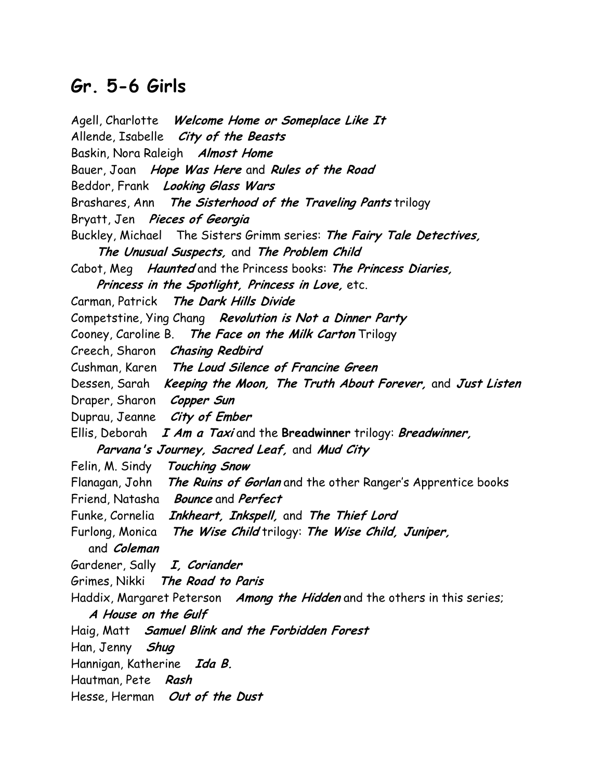## Gr. 5-6 Girls

Agell, Charlotte Welcome Home or Someplace Like It Allende, Isabelle *City of the Beasts* Baskin, Nora Raleigh Almost Home Bauer, Joan Hope Was Here and Rules of the Road Beddor, Frank Looking Glass Wars Brashares, Ann The Sisterhood of the Traveling Pants trilogy Bryatt, Jen Pieces of Georgia Buckley, Michael The Sisters Grimm series: The Fairy Tale Detectives, The Unusual Suspects, and The Problem Child Cabot, Meg Haunted and the Princess books: The Princess Diaries, Princess in the Spotlight, Princess in Love, etc. Carman, Patrick The Dark Hills Divide Competstine, Ying Chang Revolution is Not a Dinner Party Cooney, Caroline B. The Face on the Milk Carton Trilogy Creech, Sharon Chasing Redbird Cushman, Karen The Loud Silence of Francine Green Dessen, Sarah Keeping the Moon, The Truth About Forever, and Just Listen Draper, Sharon Copper Sun Duprau, Jeanne City of Ember Ellis, Deborah  $I$  Am a Taxi and the Breadwinner trilogy: Breadwinner, Parvana's Journey, Sacred Leaf, and Mud City Felin, M. Sindy Touching Snow Flanagan, John The Ruins of Gorlan and the other Ranger's Apprentice books Friend, Natasha Bounce and Perfect Funke, Cornelia Inkheart, Inkspell, and The Thief Lord Furlong, Monica The Wise Child trilogy: The Wise Child, Juniper, and Coleman Gardener, Sally I, Coriander Grimes, Nikki The Road to Paris Haddix, Margaret Peterson Among the Hidden and the others in this series; A House on the Gulf Haig, Matt Samuel Blink and the Forbidden Forest Han, Jenny Shug Hannigan, Katherine Ida B. Hautman, Pete Rash Hesse, Herman Out of the Dust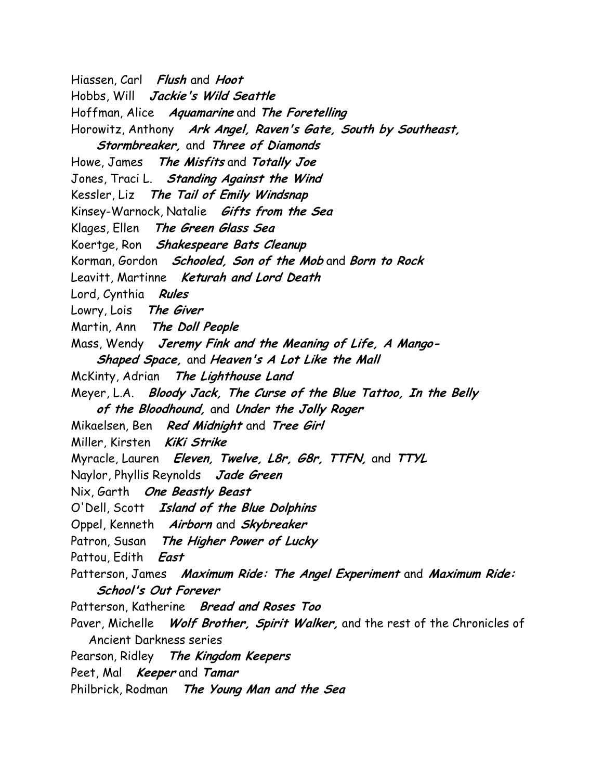Hiassen, Carl Flush and Hoot Hobbs, Will Jackie's Wild Seattle Hoffman, Alice Aquamarine and The Foretelling Horowitz, Anthony Ark Angel, Raven's Gate, South by Southeast, Stormbreaker, and Three of Diamonds Howe, James The Misfits and Totally Joe Jones, Traci L. Standing Against the Wind Kessler, Liz The Tail of Emily Windsnap Kinsey-Warnock, Natalie Gifts from the Sea Klages, Ellen The Green Glass Sea Koertge, Ron Shakespeare Bats Cleanup Korman, Gordon *Schooled, Son of the Mob* and Born to Rock Leavitt, Martinne Keturah and Lord Death Lord, Cynthia Rules Lowry, Lois The Giver Martin, Ann The Doll People Mass, Wendy Jeremy Fink and the Meaning of Life, A Mango- Shaped Space, and Heaven's A Lot Like the Mall McKinty, Adrian The Lighthouse Land Meyer, L.A. Bloody Jack, The Curse of the Blue Tattoo, In the Belly of the Bloodhound, and Under the Jolly Roger Mikaelsen, Ben Red Midnight and Tree Girl Miller, Kirsten KiKi Strike Myracle, Lauren Eleven, Twelve, L8r, G8r, TTFN, and TTYL Naylor, Phyllis Reynolds Jade Green Nix, Garth One Beastly Beast O'Dell, Scott Island of the Blue Dolphins Oppel, Kenneth Airborn and Skybreaker Patron, Susan The Higher Power of Lucky Pattou, Edith East Patterson, James Maximum Ride: The Angel Experiment and Maximum Ride: School's Out Forever Patterson, Katherine Bread and Roses Too Paver, Michelle Wolf Brother, Spirit Walker, and the rest of the Chronicles of Ancient Darkness series Pearson, Ridley The Kingdom Keepers Peet, Mal **Keeper** and Tamar Philbrick, Rodman The Young Man and the Sea